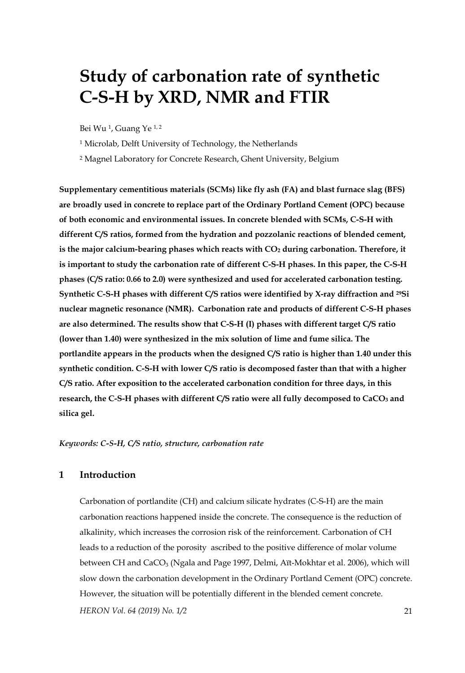# **Study of carbonation rate of synthetic C-S-H by XRD, NMR and FTIR**

Bei Wu 1, Guang Ye 1, 2

1 Microlab, Delft University of Technology, the Netherlands

2 Magnel Laboratory for Concrete Research, Ghent University, Belgium

**Supplementary cementitious materials (SCMs) like fly ash (FA) and blast furnace slag (BFS) are broadly used in concrete to replace part of the Ordinary Portland Cement (OPC) because of both economic and environmental issues. In concrete blended with SCMs, C-S-H with different C/S ratios, formed from the hydration and pozzolanic reactions of blended cement,**  is the major calcium-bearing phases which reacts with  $CO<sub>2</sub>$  during carbonation. Therefore, it **is important to study the carbonation rate of different C-S-H phases. In this paper, the C-S-H phases (C/S ratio: 0.66 to 2.0) were synthesized and used for accelerated carbonation testing. Synthetic C-S-H phases with different C/S ratios were identified by X-ray diffraction and 29Si nuclear magnetic resonance (NMR). Carbonation rate and products of different C-S-H phases are also determined. The results show that C-S-H (I) phases with different target C/S ratio (lower than 1.40) were synthesized in the mix solution of lime and fume silica. The portlandite appears in the products when the designed C/S ratio is higher than 1.40 under this synthetic condition. C-S-H with lower C/S ratio is decomposed faster than that with a higher C/S ratio. After exposition to the accelerated carbonation condition for three days, in this**  research, the C-S-H phases with different C/S ratio were all fully decomposed to CaCO<sub>3</sub> and **silica gel.** 

*Keywords: C-S-H, C/S ratio, structure, carbonation rate* 

# **1 Introduction**

*HERON Vol. 64 (2019) No. 1/2* 21 Carbonation of portlandite (CH) and calcium silicate hydrates (C-S-H) are the main carbonation reactions happened inside the concrete. The consequence is the reduction of alkalinity, which increases the corrosion risk of the reinforcement. Carbonation of CH leads to a reduction of the porosity ascribed to the positive difference of molar volume between CH and CaCO<sub>3</sub> (Ngala and Page 1997, Delmi, Aït-Mokhtar et al. 2006), which will slow down the carbonation development in the Ordinary Portland Cement (OPC) concrete. However, the situation will be potentially different in the blended cement concrete.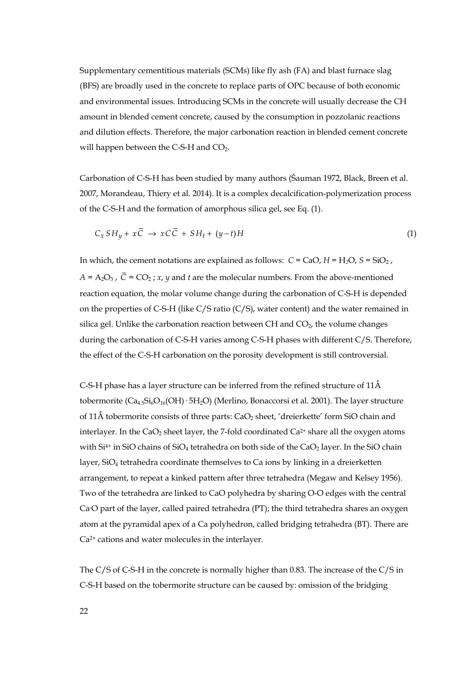Supplementary cementitious materials (SCMs) like fly ash (FA) and blast furnace slag (BFS) are broadly used in the concrete to replace parts of OPC because of both economic and environmental issues. Introducing SCMs in the concrete will usually decrease the CH amount in blended cement concrete, caused by the consumption in pozzolanic reactions and dilution effects. Therefore, the major carbonation reaction in blended cement concrete will happen between the C-S-H and  $CO<sub>2</sub>$ .

Carbonation of C-S-H has been studied by many authors (Šauman 1972, Black, Breen et al. 2007, Morandeau, Thiery et al. 2014). It is a complex decalcification-polymerization process of the C-S-H and the formation of amorphous silica gel, see Eq. (1).

$$
C_x SH_y + x\overline{C} \to xC\overline{C} + SH_t + (y-t)H
$$
 (1)

In which, the cement notations are explained as follows:  $C = CaO$ ,  $H = H_2O$ ,  $S = SiO_2$ ,  $A = A_2O_3$ ,  $\overline{C} = CO_2$ ; *x*, *y* and *t* are the molecular numbers. From the above-mentioned reaction equation, the molar volume change during the carbonation of C-S-H is depended on the properties of C-S-H (like C/S ratio (C/S), water content) and the water remained in silica gel. Unlike the carbonation reaction between CH and  $CO<sub>2</sub>$ , the volume changes during the carbonation of C-S-H varies among C-S-H phases with different C/S. Therefore, the effect of the C-S-H carbonation on the porosity development is still controversial.

C-S-H phase has a layer structure can be inferred from the refined structure of 11Å tobermorite  $(Ca_{4.5}Si_6O_{16}(OH) \cdot 5H_2O)$  (Merlino, Bonaccorsi et al. 2001). The layer structure of 11Å tobermorite consists of three parts:  $CaO<sub>2</sub>$  sheet, 'dreierkette' form SiO chain and interlayer. In the CaO<sub>2</sub> sheet layer, the 7-fold coordinated Ca<sup>2+</sup> share all the oxygen atoms with  $Si<sup>4+</sup>$  in SiO chains of SiO<sub>4</sub> tetrahedra on both side of the CaO<sub>2</sub> layer. In the SiO chain layer, SiO4 tetrahedra coordinate themselves to Ca ions by linking in a dreierketten arrangement, to repeat a kinked pattern after three tetrahedra (Megaw and Kelsey 1956). Two of the tetrahedra are linked to CaO polyhedra by sharing O-O edges with the central Ca-O part of the layer, called paired tetrahedra (PT); the third tetrahedra shares an oxygen atom at the pyramidal apex of a Ca polyhedron, called bridging tetrahedra (BT). There are Ca2+ cations and water molecules in the interlayer.

The C/S of C-S-H in the concrete is normally higher than 0.83. The increase of the C/S in C-S-H based on the tobermorite structure can be caused by: omission of the bridging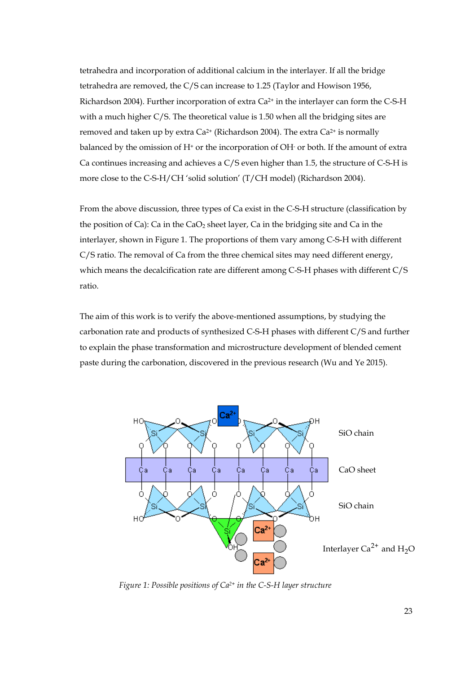tetrahedra and incorporation of additional calcium in the interlayer. If all the bridge tetrahedra are removed, the C/S can increase to 1.25 (Taylor and Howison 1956, Richardson 2004). Further incorporation of extra Ca2+ in the interlayer can form the C-S-H with a much higher C/S. The theoretical value is 1.50 when all the bridging sites are removed and taken up by extra Ca<sup>2+</sup> (Richardson 2004). The extra Ca<sup>2+</sup> is normally balanced by the omission of H+ or the incorporation of OH- or both. If the amount of extra Ca continues increasing and achieves a C/S even higher than 1.5, the structure of C-S-H is more close to the C-S-H/CH 'solid solution' (T/CH model) (Richardson 2004).

From the above discussion, three types of Ca exist in the C-S-H structure (classification by the position of Ca): Ca in the  $CaO<sub>2</sub>$  sheet layer, Ca in the bridging site and Ca in the interlayer, shown in Figure 1. The proportions of them vary among C-S-H with different C/S ratio. The removal of Ca from the three chemical sites may need different energy, which means the decalcification rate are different among C-S-H phases with different C/S ratio.

The aim of this work is to verify the above-mentioned assumptions, by studying the carbonation rate and products of synthesized C-S-H phases with different C/S and further to explain the phase transformation and microstructure development of blended cement paste during the carbonation, discovered in the previous research (Wu and Ye 2015).



 *Figure 1: Possible positions of Ca2+ in the C-S-H layer structure*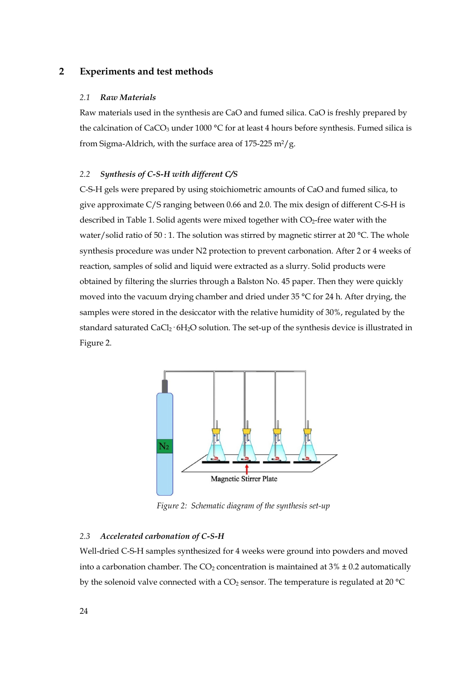# **2 Experiments and test methods**

#### *2.1 Raw Materials*

Raw materials used in the synthesis are CaO and fumed silica. CaO is freshly prepared by the calcination of CaCO<sub>3</sub> under 1000 °C for at least 4 hours before synthesis. Fumed silica is from Sigma-Aldrich, with the surface area of  $175-225$  m<sup>2</sup>/g.

# *2.2 Synthesis of C-S-H with different C/S*

C-S-H gels were prepared by using stoichiometric amounts of CaO and fumed silica, to give approximate C/S ranging between 0.66 and 2.0. The mix design of different C-S-H is described in Table 1. Solid agents were mixed together with CO<sub>2</sub>-free water with the water/solid ratio of 50 : 1. The solution was stirred by magnetic stirrer at 20 °C. The whole synthesis procedure was under N2 protection to prevent carbonation. After 2 or 4 weeks of reaction, samples of solid and liquid were extracted as a slurry. Solid products were obtained by filtering the slurries through a Balston No. 45 paper. Then they were quickly moved into the vacuum drying chamber and dried under 35 °C for 24 h. After drying, the samples were stored in the desiccator with the relative humidity of 30%, regulated by the standard saturated CaCl<sub>2</sub>·6H<sub>2</sub>O solution. The set-up of the synthesis device is illustrated in Figure 2.



 *Figure 2: Schematic diagram of the synthesis set-up* 

#### *2.3 Accelerated carbonation of C-S-H*

Well-dried C-S-H samples synthesized for 4 weeks were ground into powders and moved into a carbonation chamber. The  $CO_2$  concentration is maintained at 3%  $\pm$  0.2 automatically by the solenoid valve connected with a  $CO<sub>2</sub>$  sensor. The temperature is regulated at 20 °C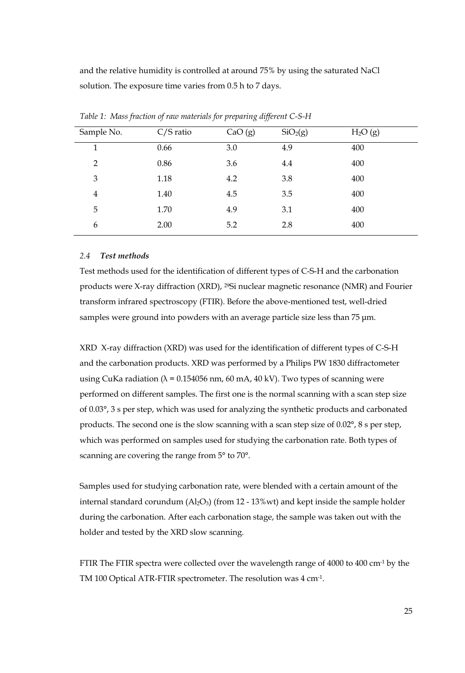and the relative humidity is controlled at around 75% by using the saturated NaCl solution. The exposure time varies from 0.5 h to 7 days.

| Sample No.     | $C/S$ ratio | CaO(g) | SiO <sub>2</sub> (g) | H <sub>2</sub> O(g) |
|----------------|-------------|--------|----------------------|---------------------|
| 1              | 0.66        | 3.0    | 4.9                  | 400                 |
| 2              | 0.86        | 3.6    | 4.4                  | 400                 |
| 3              | 1.18        | 4.2    | 3.8                  | 400                 |
| $\overline{4}$ | 1.40        | 4.5    | 3.5                  | 400                 |
| 5              | 1.70        | 4.9    | 3.1                  | 400                 |
| 6              | 2.00        | 5.2    | 2.8                  | 400                 |

*Table 1: Mass fraction of raw materials for preparing different C-S-H* 

## *2.4 Test methods*

Test methods used for the identification of different types of C-S-H and the carbonation products were X-ray diffraction (XRD), 29Si nuclear magnetic resonance (NMR) and Fourier transform infrared spectroscopy (FTIR). Before the above-mentioned test, well-dried samples were ground into powders with an average particle size less than 75 μm.

XRD X-ray diffraction (XRD) was used for the identification of different types of C-S-H and the carbonation products. XRD was performed by a Philips PW 1830 diffractometer using CuKa radiation ( $\lambda$  = 0.154056 nm, 60 mA, 40 kV). Two types of scanning were performed on different samples. The first one is the normal scanning with a scan step size of 0.03°, 3 s per step, which was used for analyzing the synthetic products and carbonated products. The second one is the slow scanning with a scan step size of 0.02°, 8 s per step, which was performed on samples used for studying the carbonation rate. Both types of scanning are covering the range from 5° to 70°.

Samples used for studying carbonation rate, were blended with a certain amount of the internal standard corundum  $(A_2O_3)$  (from 12 - 13%wt) and kept inside the sample holder during the carbonation. After each carbonation stage, the sample was taken out with the holder and tested by the XRD slow scanning.

FTIR The FTIR spectra were collected over the wavelength range of 4000 to 400 cm<sup>-1</sup> by the TM 100 Optical ATR-FTIR spectrometer. The resolution was 4 cm-1.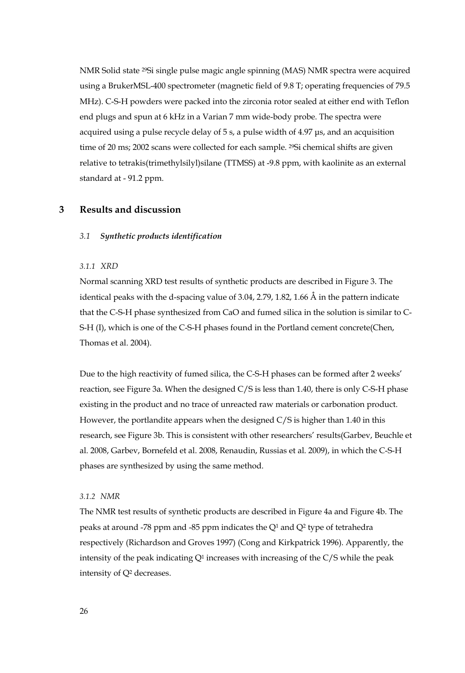NMR Solid state 29Si single pulse magic angle spinning (MAS) NMR spectra were acquired using a BrukerMSL-400 spectrometer (magnetic field of 9.8 T; operating frequencies of 79.5 MHz). C-S-H powders were packed into the zirconia rotor sealed at either end with Teflon end plugs and spun at 6 kHz in a Varian 7 mm wide-body probe. The spectra were acquired using a pulse recycle delay of 5 s, a pulse width of 4.97 μs, and an acquisition time of 20 ms; 2002 scans were collected for each sample. <sup>29</sup>Si chemical shifts are given relative to tetrakis(trimethylsilyl)silane (TTMSS) at -9.8 ppm, with kaolinite as an external standard at - 91.2 ppm.

# **3 Results and discussion**

#### *3.1 Synthetic products identification*

#### *3.1.1 XRD*

Normal scanning XRD test results of synthetic products are described in Figure 3. The identical peaks with the d-spacing value of 3.04, 2.79, 1.82, 1.66 Å in the pattern indicate that the C-S-H phase synthesized from CaO and fumed silica in the solution is similar to C-S-H (I), which is one of the C-S-H phases found in the Portland cement concrete(Chen, Thomas et al. 2004).

Due to the high reactivity of fumed silica, the C-S-H phases can be formed after 2 weeks' reaction, see Figure 3a. When the designed C/S is less than 1.40, there is only C-S-H phase existing in the product and no trace of unreacted raw materials or carbonation product. However, the portlandite appears when the designed C/S is higher than 1.40 in this research, see Figure 3b. This is consistent with other researchers' results(Garbev, Beuchle et al. 2008, Garbev, Bornefeld et al. 2008, Renaudin, Russias et al. 2009), in which the C-S-H phases are synthesized by using the same method.

#### *3.1.2 NMR*

The NMR test results of synthetic products are described in Figure 4a and Figure 4b. The peaks at around -78 ppm and -85 ppm indicates the Q1 and Q2 type of tetrahedra respectively (Richardson and Groves 1997) (Cong and Kirkpatrick 1996). Apparently, the intensity of the peak indicating  $Q<sup>1</sup>$  increases with increasing of the C/S while the peak intensity of Q2 decreases.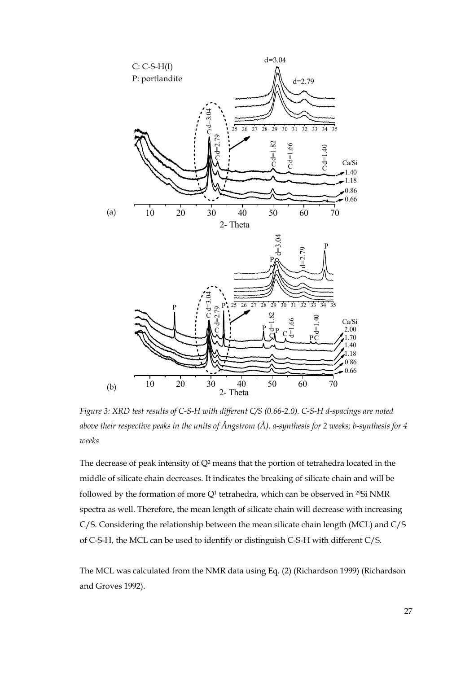

*Figure 3: XRD test results of C-S-H with different C/S (0.66-2.0). C-S-H d-spacings are noted above their respective peaks in the units of Ångstrom (Å). a-synthesis for 2 weeks; b-synthesis for 4 weeks* 

The decrease of peak intensity of  $Q^2$  means that the portion of tetrahedra located in the middle of silicate chain decreases. It indicates the breaking of silicate chain and will be followed by the formation of more Q<sup>1</sup> tetrahedra, which can be observed in <sup>29</sup>Si NMR spectra as well. Therefore, the mean length of silicate chain will decrease with increasing C/S. Considering the relationship between the mean silicate chain length (MCL) and C/S of C-S-H, the MCL can be used to identify or distinguish C-S-H with different C/S.

The MCL was calculated from the NMR data using Eq. (2) (Richardson 1999) (Richardson and Groves 1992).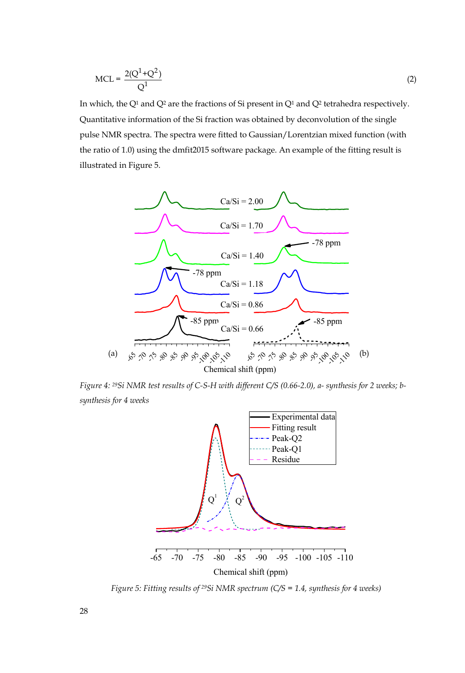$$
MCL = \frac{2(Q^1 + Q^2)}{Q^1}
$$
 (2)

In which, the  $Q<sup>1</sup>$  and  $Q<sup>2</sup>$  are the fractions of Si present in  $Q<sup>1</sup>$  and  $Q<sup>2</sup>$  tetrahedra respectively. Quantitative information of the Si fraction was obtained by deconvolution of the single pulse NMR spectra. The spectra were fitted to Gaussian/Lorentzian mixed function (with the ratio of 1.0) using the dmfit2015 software package. An example of the fitting result is illustrated in Figure 5.



*Figure 4: 29Si NMR test results of C-S-H with different C/S (0.66-2.0), a- synthesis for 2 weeks; bsynthesis for 4 weeks* 



*Figure 5: Fitting results of 29Si NMR spectrum (C/S = 1.4, synthesis for 4 weeks)*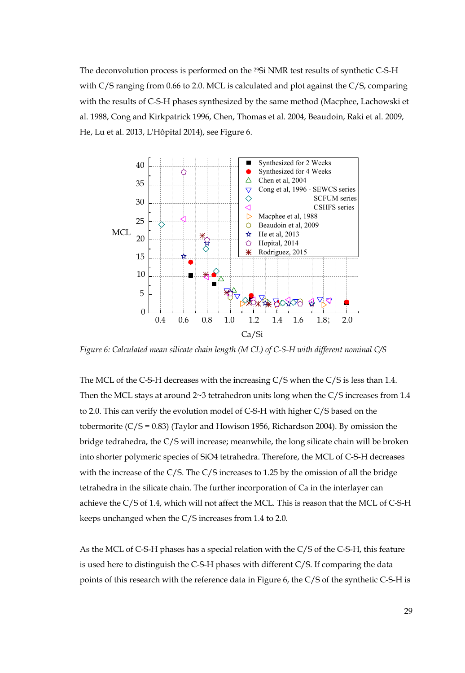The deconvolution process is performed on the 29Si NMR test results of synthetic C-S-H with C/S ranging from 0.66 to 2.0. MCL is calculated and plot against the C/S, comparing with the results of C-S-H phases synthesized by the same method (Macphee, Lachowski et al. 1988, Cong and Kirkpatrick 1996, Chen, Thomas et al. 2004, Beaudoin, Raki et al. 2009, He, Lu et al. 2013, L'Hôpital 2014), see Figure 6.



*Figure 6: Calculated mean silicate chain length (M CL) of C-S-H with different nominal C/S* 

The MCL of the C-S-H decreases with the increasing C/S when the C/S is less than 1.4. Then the MCL stays at around  $2~3$  tetrahedron units long when the C/S increases from 1.4 to 2.0. This can verify the evolution model of C-S-H with higher C/S based on the tobermorite  $(C/S = 0.83)$  (Taylor and Howison 1956, Richardson 2004). By omission the bridge tedrahedra, the C/S will increase; meanwhile, the long silicate chain will be broken into shorter polymeric species of SiO4 tetrahedra. Therefore, the MCL of C-S-H decreases with the increase of the C/S. The C/S increases to 1.25 by the omission of all the bridge tetrahedra in the silicate chain. The further incorporation of Ca in the interlayer can achieve the C/S of 1.4, which will not affect the MCL. This is reason that the MCL of C-S-H keeps unchanged when the C/S increases from 1.4 to 2.0.

As the MCL of C-S-H phases has a special relation with the C/S of the C-S-H, this feature is used here to distinguish the C-S-H phases with different C/S. If comparing the data points of this research with the reference data in Figure 6, the C/S of the synthetic C-S-H is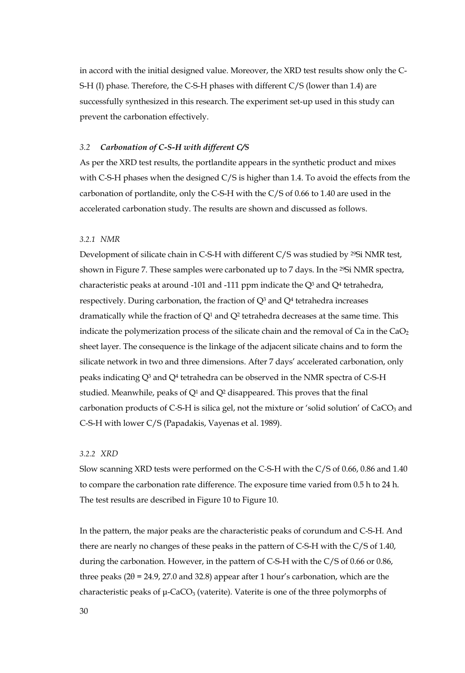in accord with the initial designed value. Moreover, the XRD test results show only the C-S-H (I) phase. Therefore, the C-S-H phases with different C/S (lower than 1.4) are successfully synthesized in this research. The experiment set-up used in this study can prevent the carbonation effectively.

#### *3.2 Carbonation of C-S-H with different C/S*

As per the XRD test results, the portlandite appears in the synthetic product and mixes with C-S-H phases when the designed C/S is higher than 1.4. To avoid the effects from the carbonation of portlandite, only the C-S-H with the C/S of 0.66 to 1.40 are used in the accelerated carbonation study. The results are shown and discussed as follows.

#### *3.2.1 NMR*

Development of silicate chain in C-S-H with different C/S was studied by 29Si NMR test, shown in Figure 7. These samples were carbonated up to 7 days. In the 29Si NMR spectra, characteristic peaks at around -101 and -111 ppm indicate the  $Q<sup>3</sup>$  and  $Q<sup>4</sup>$  tetrahedra, respectively. During carbonation, the fraction of  $Q<sup>3</sup>$  and  $Q<sup>4</sup>$  tetrahedra increases dramatically while the fraction of  $Q<sup>1</sup>$  and  $Q<sup>2</sup>$  tetrahedra decreases at the same time. This indicate the polymerization process of the silicate chain and the removal of Ca in the  $CaO<sub>2</sub>$ sheet layer. The consequence is the linkage of the adjacent silicate chains and to form the silicate network in two and three dimensions. After 7 days' accelerated carbonation, only peaks indicating Q3 and Q4 tetrahedra can be observed in the NMR spectra of C-S-H studied. Meanwhile, peaks of  $Q<sup>1</sup>$  and  $Q<sup>2</sup>$  disappeared. This proves that the final carbonation products of C-S-H is silica gel, not the mixture or 'solid solution' of  $CaCO<sub>3</sub>$  and C-S-H with lower C/S (Papadakis, Vayenas et al. 1989).

# *3.2.2 XRD*

Slow scanning XRD tests were performed on the C-S-H with the C/S of 0.66, 0.86 and 1.40 to compare the carbonation rate difference. The exposure time varied from 0.5 h to 24 h. The test results are described in Figure 10 to Figure 10.

In the pattern, the major peaks are the characteristic peaks of corundum and C-S-H. And there are nearly no changes of these peaks in the pattern of C-S-H with the C/S of 1.40, during the carbonation. However, in the pattern of C-S-H with the C/S of 0.66 or 0.86, three peaks ( $2\theta$  = 24.9, 27.0 and 32.8) appear after 1 hour's carbonation, which are the characteristic peaks of  $\mu$ -CaCO<sub>3</sub> (vaterite). Vaterite is one of the three polymorphs of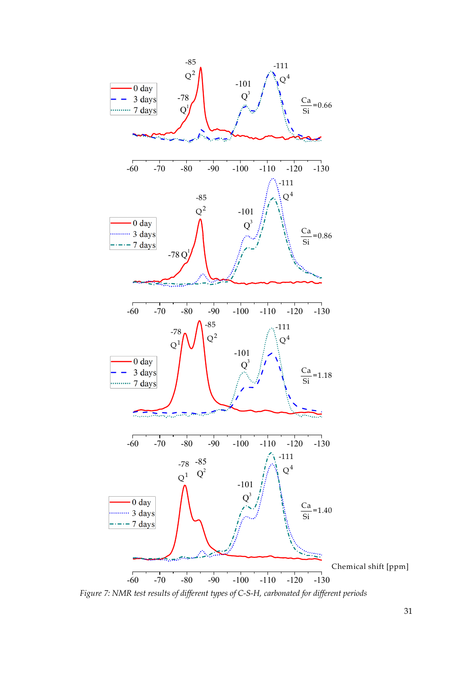

*Figure 7: NMR test results of different types of C-S-H, carbonated for different periods*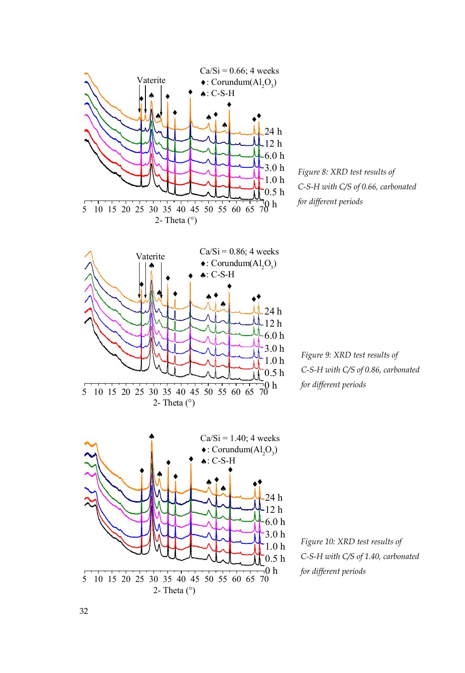

*Figure 8: XRD test results of C-S-H with C/S of 0.66, carbonated for different periods* 

*Figure 9: XRD test results of C-S-H with C/S of 0.86, carbonated for different periods* 

*Figure 10: XRD test results of C-S-H with C/S of 1.40, carbonated for different periods*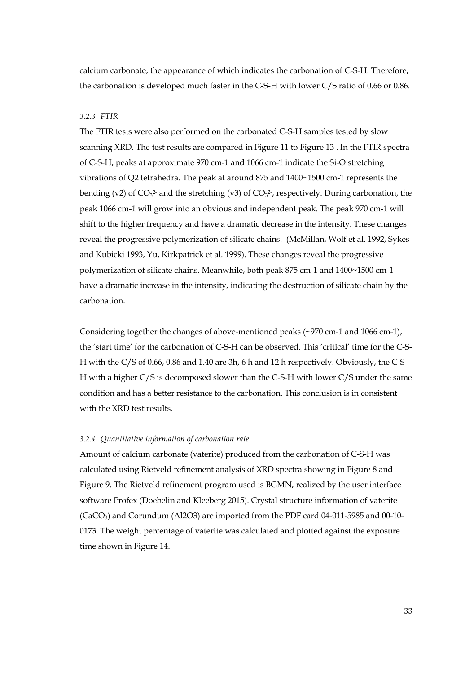calcium carbonate, the appearance of which indicates the carbonation of C-S-H. Therefore, the carbonation is developed much faster in the C-S-H with lower C/S ratio of 0.66 or 0.86.

#### *3.2.3 FTIR*

The FTIR tests were also performed on the carbonated C-S-H samples tested by slow scanning XRD. The test results are compared in Figure 11 to Figure 13 . In the FTIR spectra of C-S-H, peaks at approximate 970 cm-1 and 1066 cm-1 indicate the Si-O stretching vibrations of Q2 tetrahedra. The peak at around 875 and 1400~1500 cm-1 represents the bending (v2) of  $CO<sub>3</sub><sup>2</sup>$  and the stretching (v3) of  $CO<sub>3</sub><sup>2</sup>$ , respectively. During carbonation, the peak 1066 cm-1 will grow into an obvious and independent peak. The peak 970 cm-1 will shift to the higher frequency and have a dramatic decrease in the intensity. These changes reveal the progressive polymerization of silicate chains. (McMillan, Wolf et al. 1992, Sykes and Kubicki 1993, Yu, Kirkpatrick et al. 1999). These changes reveal the progressive polymerization of silicate chains. Meanwhile, both peak 875 cm-1 and 1400~1500 cm-1 have a dramatic increase in the intensity, indicating the destruction of silicate chain by the carbonation.

Considering together the changes of above-mentioned peaks  $(\sim 970 \text{ cm} - 1 \text{ and } 1066 \text{ cm} - 1)$ , the 'start time' for the carbonation of C-S-H can be observed. This 'critical' time for the C-S-H with the C/S of 0.66, 0.86 and 1.40 are 3h, 6 h and 12 h respectively. Obviously, the C-S-H with a higher C/S is decomposed slower than the C-S-H with lower C/S under the same condition and has a better resistance to the carbonation. This conclusion is in consistent with the XRD test results.

#### *3.2.4 Quantitative information of carbonation rate*

Amount of calcium carbonate (vaterite) produced from the carbonation of C-S-H was calculated using Rietveld refinement analysis of XRD spectra showing in Figure 8 and Figure 9. The Rietveld refinement program used is BGMN, realized by the user interface software Profex (Doebelin and Kleeberg 2015). Crystal structure information of vaterite (CaCO3) and Corundum (Al2O3) are imported from the PDF card 04-011-5985 and 00-10- 0173. The weight percentage of vaterite was calculated and plotted against the exposure time shown in Figure 14.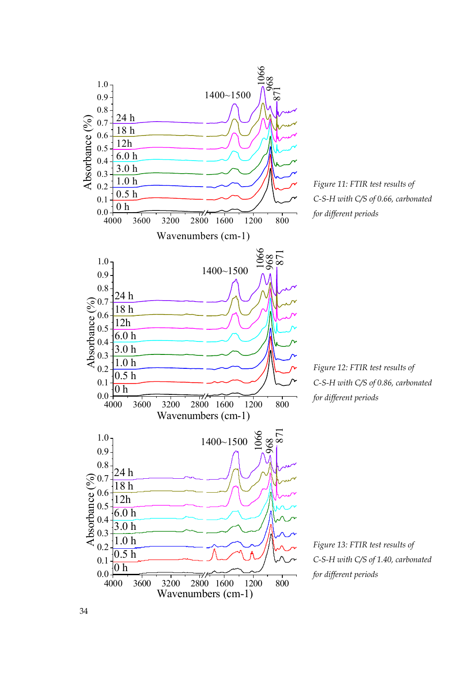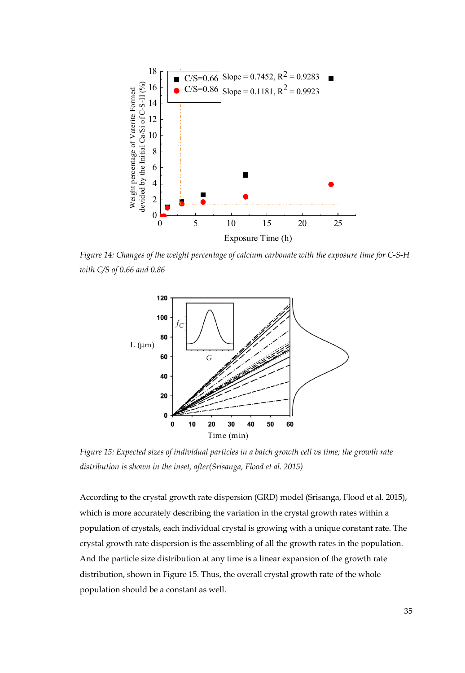

*Figure 14: Changes of the weight percentage of calcium carbonate with the exposure time for C-S-H with C/S of 0.66 and 0.86* 



*Figure 15: Expected sizes of individual particles in a batch growth cell vs time; the growth rate distribution is shown in the inset, after(Srisanga, Flood et al. 2015)*

According to the crystal growth rate dispersion (GRD) model (Srisanga, Flood et al. 2015), which is more accurately describing the variation in the crystal growth rates within a population of crystals, each individual crystal is growing with a unique constant rate. The crystal growth rate dispersion is the assembling of all the growth rates in the population. And the particle size distribution at any time is a linear expansion of the growth rate distribution, shown in Figure 15. Thus, the overall crystal growth rate of the whole population should be a constant as well.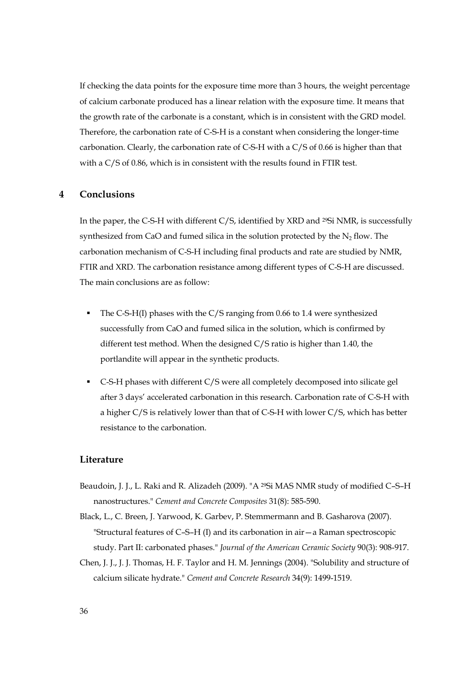If checking the data points for the exposure time more than 3 hours, the weight percentage of calcium carbonate produced has a linear relation with the exposure time. It means that the growth rate of the carbonate is a constant, which is in consistent with the GRD model. Therefore, the carbonation rate of C-S-H is a constant when considering the longer-time carbonation. Clearly, the carbonation rate of C-S-H with a C/S of 0.66 is higher than that with a C/S of 0.86, which is in consistent with the results found in FTIR test.

# **4 Conclusions**

In the paper, the C-S-H with different C/S, identified by XRD and 29Si NMR, is successfully synthesized from CaO and fumed silica in the solution protected by the  $N_2$  flow. The carbonation mechanism of C-S-H including final products and rate are studied by NMR, FTIR and XRD. The carbonation resistance among different types of C-S-H are discussed. The main conclusions are as follow:

- The C-S-H(I) phases with the C/S ranging from 0.66 to 1.4 were synthesized successfully from CaO and fumed silica in the solution, which is confirmed by different test method. When the designed C/S ratio is higher than 1.40, the portlandite will appear in the synthetic products.
- C-S-H phases with different C/S were all completely decomposed into silicate gel after 3 days' accelerated carbonation in this research. Carbonation rate of C-S-H with a higher C/S is relatively lower than that of C-S-H with lower C/S, which has better resistance to the carbonation.

## **Literature**

- Beaudoin, J. J., L. Raki and R. Alizadeh (2009). "A 29Si MAS NMR study of modified C–S–H nanostructures." *Cement and Concrete Composites* 31(8): 585-590.
- Black, L., C. Breen, J. Yarwood, K. Garbev, P. Stemmermann and B. Gasharova (2007). "Structural features of C–S–H (I) and its carbonation in air—a Raman spectroscopic study. Part II: carbonated phases." *Journal of the American Ceramic Society* 90(3): 908-917.
- Chen, J. J., J. J. Thomas, H. F. Taylor and H. M. Jennings (2004). "Solubility and structure of calcium silicate hydrate." *Cement and Concrete Research* 34(9): 1499-1519.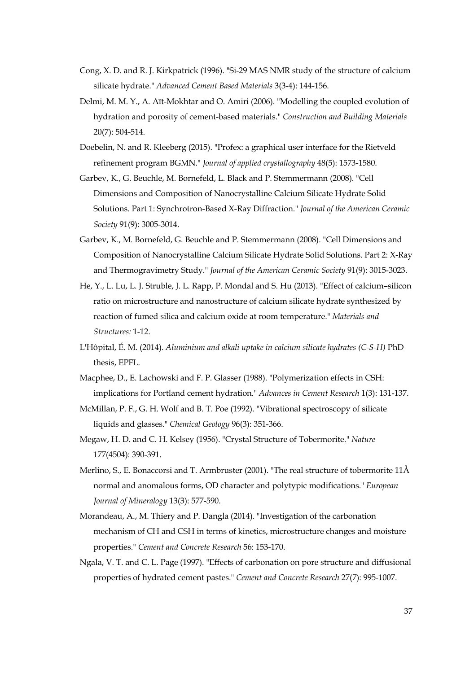- Cong, X. D. and R. J. Kirkpatrick (1996). "Si-29 MAS NMR study of the structure of calcium silicate hydrate." *Advanced Cement Based Materials* 3(3-4): 144-156.
- Delmi, M. M. Y., A. Aït-Mokhtar and O. Amiri (2006). "Modelling the coupled evolution of hydration and porosity of cement-based materials." *Construction and Building Materials* 20(7): 504-514.
- Doebelin, N. and R. Kleeberg (2015). "Profex: a graphical user interface for the Rietveld refinement program BGMN." *Journal of applied crystallography* 48(5): 1573-1580.
- Garbev, K., G. Beuchle, M. Bornefeld, L. Black and P. Stemmermann (2008). "Cell Dimensions and Composition of Nanocrystalline Calcium Silicate Hydrate Solid Solutions. Part 1: Synchrotron-Based X-Ray Diffraction." *Journal of the American Ceramic Society* 91(9): 3005-3014.
- Garbev, K., M. Bornefeld, G. Beuchle and P. Stemmermann (2008). "Cell Dimensions and Composition of Nanocrystalline Calcium Silicate Hydrate Solid Solutions. Part 2: X-Ray and Thermogravimetry Study." *Journal of the American Ceramic Society* 91(9): 3015-3023.
- He, Y., L. Lu, L. J. Struble, J. L. Rapp, P. Mondal and S. Hu (2013). "Effect of calcium–silicon ratio on microstructure and nanostructure of calcium silicate hydrate synthesized by reaction of fumed silica and calcium oxide at room temperature." *Materials and Structures:* 1-12.
- L'Hôpital, É. M. (2014). *Aluminium and alkali uptake in calcium silicate hydrates (C-S-H)* PhD thesis, EPFL.
- Macphee, D., E. Lachowski and F. P. Glasser (1988). "Polymerization effects in CSH: implications for Portland cement hydration." *Advances in Cement Research* 1(3): 131-137.
- McMillan, P. F., G. H. Wolf and B. T. Poe (1992). "Vibrational spectroscopy of silicate liquids and glasses." *Chemical Geology* 96(3): 351-366.
- Megaw, H. D. and C. H. Kelsey (1956). "Crystal Structure of Tobermorite." *Nature* 177(4504): 390-391.
- Merlino, S., E. Bonaccorsi and T. Armbruster (2001). "The real structure of tobermorite 11Å normal and anomalous forms, OD character and polytypic modifications." *European Journal of Mineralogy* 13(3): 577-590.
- Morandeau, A., M. Thiery and P. Dangla (2014). "Investigation of the carbonation mechanism of CH and CSH in terms of kinetics, microstructure changes and moisture properties." *Cement and Concrete Research* 56: 153-170.
- Ngala, V. T. and C. L. Page (1997). "Effects of carbonation on pore structure and diffusional properties of hydrated cement pastes." *Cement and Concrete Research* 27(7): 995-1007.